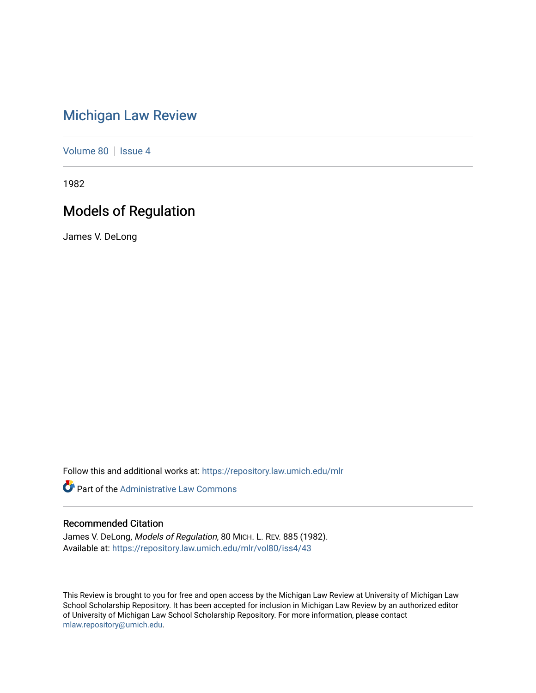# [Michigan Law Review](https://repository.law.umich.edu/mlr)

[Volume 80](https://repository.law.umich.edu/mlr/vol80) | [Issue 4](https://repository.law.umich.edu/mlr/vol80/iss4)

1982

# Models of Regulation

James V. DeLong

Follow this and additional works at: [https://repository.law.umich.edu/mlr](https://repository.law.umich.edu/mlr?utm_source=repository.law.umich.edu%2Fmlr%2Fvol80%2Fiss4%2F43&utm_medium=PDF&utm_campaign=PDFCoverPages) 

*O* Part of the Administrative Law Commons

### Recommended Citation

James V. DeLong, Models of Regulation, 80 MICH. L. REV. 885 (1982). Available at: [https://repository.law.umich.edu/mlr/vol80/iss4/43](https://repository.law.umich.edu/mlr/vol80/iss4/43?utm_source=repository.law.umich.edu%2Fmlr%2Fvol80%2Fiss4%2F43&utm_medium=PDF&utm_campaign=PDFCoverPages) 

This Review is brought to you for free and open access by the Michigan Law Review at University of Michigan Law School Scholarship Repository. It has been accepted for inclusion in Michigan Law Review by an authorized editor of University of Michigan Law School Scholarship Repository. For more information, please contact [mlaw.repository@umich.edu.](mailto:mlaw.repository@umich.edu)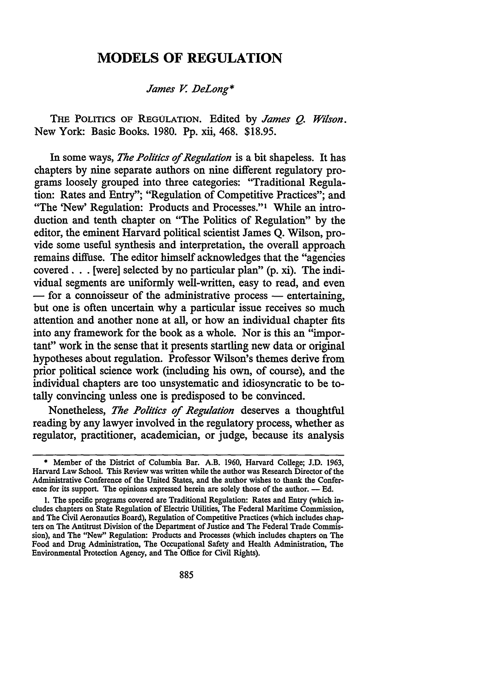### **MODELS OF REGULATION**

*James* V. *DeLong\** 

THE POLITICS OF REGULATION. Edited by *James* Q. *Wilson.*  New York: Basic Books. 1980. Pp. xii, 468. \$18.95.

In some ways, *The Politics of Regulation* is a bit shapeless. It has chapters by nine separate authors on nine different regulatory programs loosely grouped into three categories: "Traditional Regulation: Rates and Entry''; "Regulation of Competitive Practices"; and "The 'New' Regulation: Products and Processes."<sup>1</sup> While an introduction and tenth chapter on "The Politics of Regulation" by the editor, the eminent Harvard political scientist James Q. Wilson, provide some useful synthesis and interpretation, the overall approach remains diffuse. The editor himself acknowledges that the "agencies covered . . . [were] selected by no particular plan" (p. xi). The individual segments are uniformly well-written, easy to read, and even  $-$  for a connoisseur of the administrative process  $-$  entertaining, but one is often uncertain why a particular issue receives so much attention and another none at all, or how an individual chapter fits into any framework for the book as a whole. Nor is this an "important" work in the sense that it presents startling new data or original hypotheses about regulation. Professor Wilson's themes derive from prior political science work (including his own, of course), and the individual chapters are too unsystematic and idiosyncratic to be totally convincing unless one is predisposed to be convinced.

Nonetheless, *The Politics of Regulation* deserves a thoughtful reading by any lawyer involved in the regulatory process, whether as regulator, practitioner, academician, or judge, because its analysis

<sup>\*</sup> Member of the District of Columbia Bar. A.B. 1960, Harvard College; J.D. 1963, Harvard Law School. This Review was written while the author was Research Director of the Administrative Conference of the United States, and the author wishes to thank the Conference for its support. The opinions expressed herein are solely those of the author. -- Ed.

<sup>1.</sup> The specific programs covered are Traditional Regulation: Rates and Entry (which includes chapters on State Regulation of Electric Utilities, The Federal Maritime Commission, and The Civil Aeronautics Board), Regulation of Competitive Practices (which includes chapters on The Antitrust Division of the Department of Justice and The Federal Trade Commission), and The ''New'' Regulation: Products and Processes (which includes chapters on The Food and Drug Administration, The Occupational Safety and Health Administration, The Environmental Protection Agency, and The Office for Civil Rights).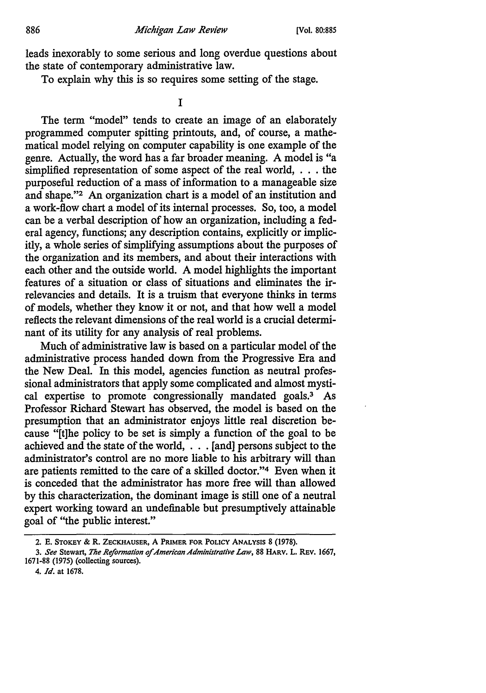leads inexorably to some serious and long overdue questions about the state of contemporary administrative law.

To explain why this is so requires some setting of the stage.

I

The term "model" tends to create an image of an elaborately programmed computer spitting printouts, and, of course, a mathematical model relying on computer capability is one example of the genre. Actually, the word has a far broader meaning. A model is "a simplified representation of some aspect of the real world, . . . the purposeful reduction of a mass of information to a manageable size and shape."2 An organization chart is a model of an institution and a work-flow chart a model of its internal processes. So, too, a model can be a verbal description of how an organization, including a federal agency, functions; any description contains, explicitly or implicitly, a whole series of simplifying assumptions about the purposes of the organization and its members, and about their interactions with each other and the outside world. A model highlights the important features of a situation or class of situations and eliminates the irrelevancies and details. It is a truism that everyone thinks in terms of models, whether they know it or not, and that how well a model reflects the relevant dimensions of the real world is a crucial determinant of its utility for any analysis of real problems.

Much of administrative law is based on a particular model of the administrative process handed down from the Progressive Era and the New Deal. In this model, agencies function as neutral professional administrators that apply some complicated and almost mystical expertise to promote congressionally mandated goals.<sup>3</sup> As Professor Richard Stewart has observed, the model is based on the presumption that an administrator enjoys little real discretion because "[t]he policy to be set is simply a function of the goal to be achieved and the state of the world, ... [and] persons subject to the administrator's control are no more liable to his arbitrary will than are patients remitted to the care of a skilled doctor."4 Even when it is conceded that the administrator has more free will than allowed by this characterization, the dominant image is still one of a neutral expert working toward an undefinable but presumptively attainable goal of "the public interest."

<sup>2.</sup> E. STOKEY & R. ZECKHAUSER, A PRIMER FOR POLICY ANALYSIS 8 (1978).

<sup>3.</sup> *See* Stewart, *The Reformation of American Administrative Law,* 88 HARV. L. REv. 1667, 1671-88 (1975) (collecting sources).

<sup>4.</sup> *Id.* at 1678.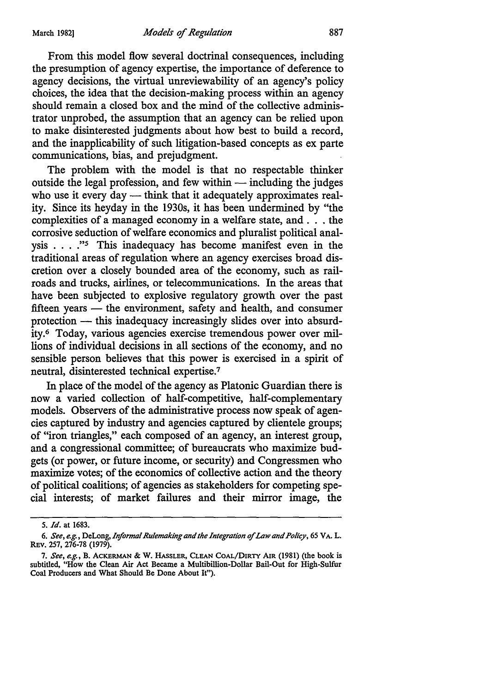From this model flow several doctrinal consequences, including the presumption of agency expertise, the importance of deference to agency decisions, the virtual unreviewability of an agency's policy choices, the idea that the decision-making process within an agency should remain a closed box and the mind of the collective administrator unprobed, the assumption that an agency can be relied upon to make disinterested judgments about how best to build a record, and the inapplicability of such litigation-based concepts as ex parte communications, bias, and prejudgment.

The problem with the model is that no respectable thinker outside the legal profession, and few within  $-$  including the judges who use it every day  $-$  think that it adequately approximates reality. Since its heyday in the 1930s, it has been undermined by "the complexities of a managed economy in a welfare state, and . . . the corrosive seduction of welfare economics and pluralist political analysis .... "5 This inadequacy has become manifest even in the traditional areas of regulation where an agency exercises broad discretion over a closely bounded area of the economy, such as railroads and trucks, airlines, or telecommunications. In the areas that have been subjected to explosive regulatory growth over the past fifteen years — the environment, safety and health, and consumer protection - this inadequacy increasingly slides over into absurdity. 6 Today, various agencies exercise tremendous power over millions of individual decisions in all sections of the economy, and no sensible person believes that this power is exercised in a spirit of neutral, disinterested technical expertise.<sup>7</sup>

In place of the model of the agency as Platonic Guardian there is now a varied collection of half-competitive, half-complementary models. Observers of the administrative process now speak of agencies captured by industry and agencies captured by clientele groups; of "iron triangles," each composed of an agency, an interest group, and a congressional committee; of bureaucrats who maximize budgets ( or power, or future income, or security) and Congressmen who maximize votes; of the economics of collective action and the theory of political coalitions; of agencies as stakeholders for competing special interests; of market failures and their mirror image, the

*<sup>5.</sup> Id.* at 1683.

<sup>6.</sup> *See, e.g.,* DeLong, *Informal Rulemaking and the Integration of Law and Policy,* 65 VA. L. REv. 257, 276-78 (1979).

<sup>7.</sup> *See, e.g.,* B. ACKERMAN & W. HAsSLER, CLEAN COAL/DIRTY AIR (1981) (the book is subtitled, "How the Clean Air Act Became a Multibillion-Dollar Bail-Out for High-Sulfur Coal Producers and What Should Be Done About It").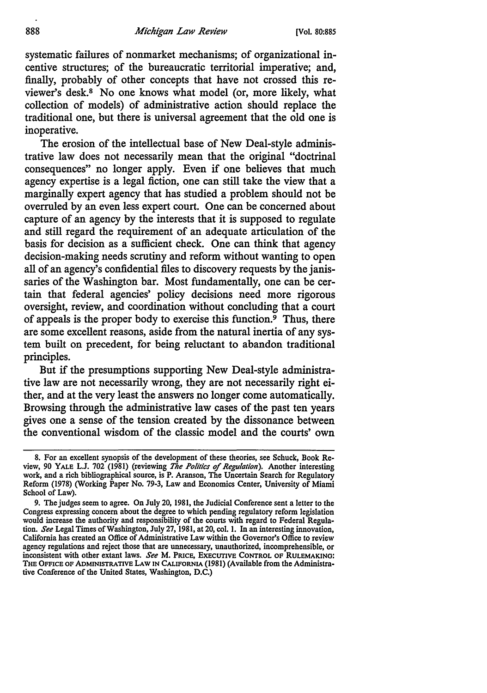systematic failures of nonmarket mechanisms; of organizational incentive structures; of the bureaucratic territorial imperative; and, finally, probably of other concepts that have not crossed this reviewer's desk.8 No one knows what model (or, more likely, what collection of models) of administrative action should replace the traditional one, but there is universal agreement that the old one is inoperative.

The erosion of the intellectual base of New Deal-style administrative law does not necessarily mean that the original "doctrinal consequences" no longer apply. Even if one believes that much agency expertise is a legal fiction, one can still take the view that a marginally expert agency that has studied a problem should not be overruled by an even less expert court. One can be concerned about capture of an agency by the interests that it is supposed to regulate and still regard the requirement of an adequate articulation of the basis for decision as a sufficient check. One can think that agency decision-making needs scrutiny and reform without wanting to open all of an agency's confidential files to discovery requests by the janissaries of the Washington bar. Most fundamentally, one can be certain that federal agencies' policy decisions need more rigorous oversight, review, and coordination without concluding that a court of appeals is the proper body to exercise this function.<sup>9</sup> Thus, there are some excellent reasons, aside from the natural inertia of any system built on precedent, for being reluctant to abandon traditional principles.

But if the presumptions supporting New Deal-style administrative law are not necessarily wrong, they are not necessarily right either, and at the very least the answers no longer come automatically. Browsing through the administrative law cases of the past ten years gives one a sense of the tension created by the dissonance between the conventional wisdom of the classic model and the courts' own

<sup>8.</sup> For an excellent synopsis of the development of these theories, see Schuck, Book Review, 90 YALE LJ. 702 (1981) (reviewing *The Politics of Regulation).* Another interesting work, and a rich bibliographical source, is P. Aranson, The Uncertain Search for Regulatory Reform (1978) (Working Paper No. 79-3, Law and Economics Center, University of Miami School of Law).

<sup>9.</sup> The judges seem to agree. On July 20, 1981, the Judicial Conference sent a letter to the Congress expressing concern about the degree to which pending regulatory reform legislation would increase the authority and responsibility of the courts with regard to Federal Regulation. *See* Legal Times of Washington, July 27, 1981, at 20, col. 1. In an interesting innovation, California has created an Office of Administrative Law within the Governor's Office to review agency regulations and reject those that are unnecessary, unauthorized, incomprehensible, or inconsistent with other extant laws. *See* M. PRICE, EXECUTIVE CONTROL OF RULEMAKINO: THE OFFICE OF ADMINISTRATIVE LAW IN CALIFORNIA (1981) (Available from the Administrative Conference of the United States, Washington, D.C.)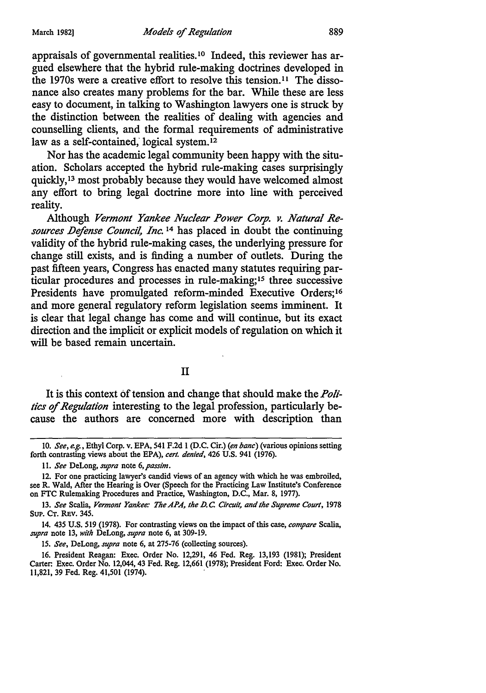appraisals of governmental realities.<sup>10</sup> Indeed, this reviewer has argued elsewhere that the hybrid rule-making doctrines developed in the 1970s were a creative effort to resolve this tension.<sup>11</sup> The dissonance also creates many problems for the bar. While these are less easy to document, in talking to Washington lawyers one is struck by the distinction between the realities of dealing with agencies and counselling clients, and the formal requirements of administrative law as a self-contained, logical system.<sup>12</sup>

Nor has the academic legal community been happy with the situation. Scholars accepted the hybrid rule-making cases surprisingly quickly, 13 most probably because they would have welcomed almost any effort to bring legal doctrine more into line with perceived reality.

Although *Vermont Yankee Nuclear Power Corp. v. Natural Re*sources Defense Council, Inc.<sup>14</sup> has placed in doubt the continuing validity of the hybrid rule-making cases, the underlying pressure for change still exists, and is finding a number of outlets. During the past fifteen years, Congress has enacted many statutes requiring particular procedures and processes in rule-making; 15 three successive Presidents have promulgated reform-minded Executive Orders; <sup>16</sup> and more general regulatory reform legislation seems imminent. It is clear that legal change has come and will continue, but its exact direction and the implicit or explicit models of regulation on which it will be based remain uncertain.

II

It is this context of tension and change that should make the *Politics of Regulation* interesting to the legal profession, particularly because the authors are concerned more with description than

14. 435 U.S. 519 (1978). For contrasting views on the impact of this case, *compare* Scalia, *supra* note 13, *with* DeLong, *supra* note 6, at 309-19.

15. *See,* DeLong, *supra* note 6, at 275-76 (collecting sources).

16. President Reagan: Exec. Order No. 12,291, 46 Fed. Reg. 13,193 (1981); President Carter: Exec. Order No. 12,044, 43 Fed. Reg. 12,661 (1978); President Ford: Exec. Order No. 11,821, 39 Fed. Reg. 41,501 (1974).

<sup>10.</sup> *See, e.g.,* Ethyl Corp. v. EPA, 541 F.2d 1 (D.C. Cir.) *(en bane)* (various opinions setting forth contrasting views about the EPA), *cert. denied,* 426 U.S. 941 (1976).

<sup>11.</sup> *See* DeLong, *supra* note *6,passim.* 

<sup>12.</sup> For one practicing lawyer's candid views of an agency with which he was embroiled, see R. Wald, After the Hearing is Over (Speech for the Practicing Law Institute's Conference on FfC Rulemaking Procedures and Practice, Washington, D.C., Mar. 8, 1977).

<sup>13.</sup> See Scalia, Vermont Yankee: The APA, the D.C. Circuit, and the Supreme Court, 1978 SUP. CT. REV. 345.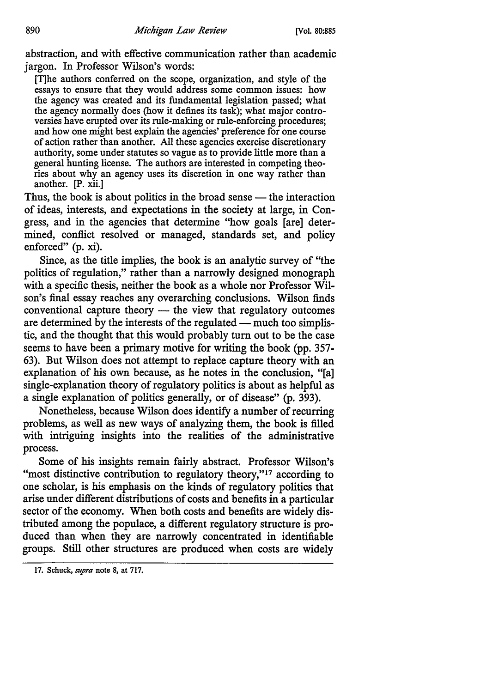abstraction, and with effective communication rather than academic jargon. In Professor Wilson's words:

[T]he authors conferred on the scope, organization, and style of the essays to ensure that they would address some common issues: how the agency was created and its fundamental legislation passed; what the agency normally does (how it defines its task); what major controversies have erupted over its rule-making or rule-enforcing procedures; and how one might best explain the agencies' preference for one course of action rather than another. All these agencies exercise discretionary authority, some under statutes so vague as to provide little more than a general hunting license. The authors are interested in competing theories about why an agency uses its discretion in one way rather than another. [P. xii.]

Thus, the book is about politics in the broad sense  $-$  the interaction of ideas, interests, and expectations in the society at large, in Congress, and in the agencies that determine "how goals [are] determined, conflict resolved or managed, standards set, and policy enforced" (p. xi).

Since, as the title implies, the book is an analytic survey of "the politics of regulation," rather than a narrowly designed monograph with a specific thesis, neither the book as a whole nor Professor Wilson's final essay reaches any overarching conclusions. Wilson finds  $conventional$  capture theory  $-$  the view that regulatory outcomes are determined by the interests of the regulated — much too simplistic, and the thought that this would probably tum out to be the case seems to have been a primary motive for writing the book (pp. 357- 63). But Wilson does not attempt to replace capture theory with an explanation of his own because, as he notes in the conclusion, "[a] single-explanation theory of regulatory politics is about as helpful as a single explanation of politics generally, or of disease" (p. 393).

Nonetheless, because Wilson does identify a number of recurring problems, as well as new ways of analyzing them, the book is filled with intriguing insights into the realities of the administrative process.

Some of his insights remain fairly abstract. Professor Wilson's "most distinctive contribution to regulatory theory,"<sup>17</sup> according to one scholar, is his emphasis on the kinds of regulatory politics that arise under different distributions of costs and benefits in a particular sector of the economy. When both costs and benefits are widely distributed among the populace, a different regulatory structure is produced than when they are narrowly concentrated in identifiable groups. Still other structures are produced when costs are widely

<sup>17.</sup> Schuck, *supra* note 8, at 717.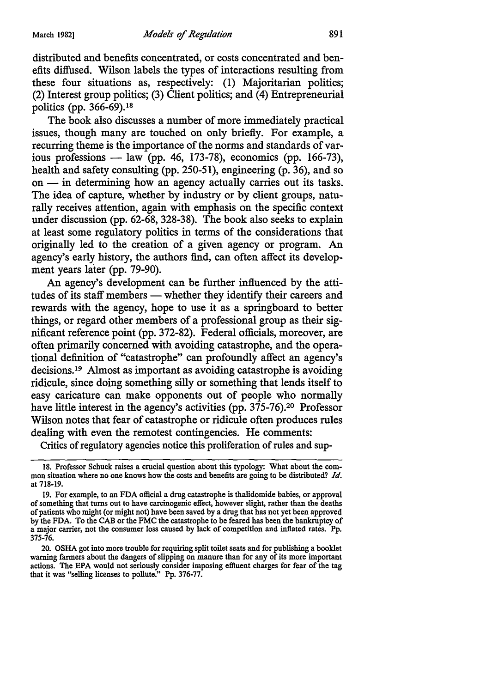The book also discusses a number of more immediately practical issues, though many are touched on only briefly. For example, a recurring theme is the importance of the norms and standards of various professions — law (pp. 46, 173-78), economics (pp. 166-73), health and safety consulting (pp. 250-51), engineering (p. 36), and so on - in determining how an agency actually carries out its tasks. The idea of capture, whether by industry or by client groups, naturally receives attention, again with emphasis on the specific context under discussion (pp. 62-68, 328-38). The book also seeks to explain at least some regulatory politics in terms of the considerations that originally led to the creation of a given agency or program. An agency's early history, the authors find, can often affect its development years later (pp. 79-90).

An agency's development can be further influenced by the attitudes of its staff members — whether they identify their careers and rewards with the agency, hope to use it as a springboard to better things, or regard other members of a professional group as their significant reference point (pp. 372-82). Federal officials, moreover, are often primarily concerned with avoiding catastrophe, and the operational definition of "catastrophe" can profoundly affect an agency's decisions. 19 Almost as important as avoiding catastrophe is avoiding ridicule, since doing something silly or something that lends itself to easy caricature can make opponents out of people who normally have little interest in the agency's activities (pp. 375-76).<sup>20</sup> Professor Wilson notes that fear of catastrophe or ridicule often produces rules dealing with even the remotest contingencies. He comments:

Critics of regulatory agencies notice this proliferation of rules and sup-

<sup>18.</sup> Professor Schuck raises a crucial question about this typology: What about the common situation where no one knows how the costs and benefits are going to be distributed? *Id.*  at 718-19.

<sup>19.</sup> For example, to an FDA official a drug catastrophe is thalidomide babies, or approval of something that turns out to have carcinogenic effect, however slight, rather than the deaths of patients who might (or might not) have been saved by a drug that has not yet been approved by the FDA. To the CAB or the FMC the catastrophe to be feared has been the bankruptcy of a major carrier, not the consumer loss caused by lack of competition and inflated rates. Pp. 375-76.

<sup>20.</sup> OSHA got into more trouble for requiring split toilet seats and for publishing a booklet warning farmers about the dangers of slipping on manure than for any of its more important actions. The EPA would not seriously consider imposing effluent charges for fear of the tag that it was "selling licenses to pollute." Pp. 376-77.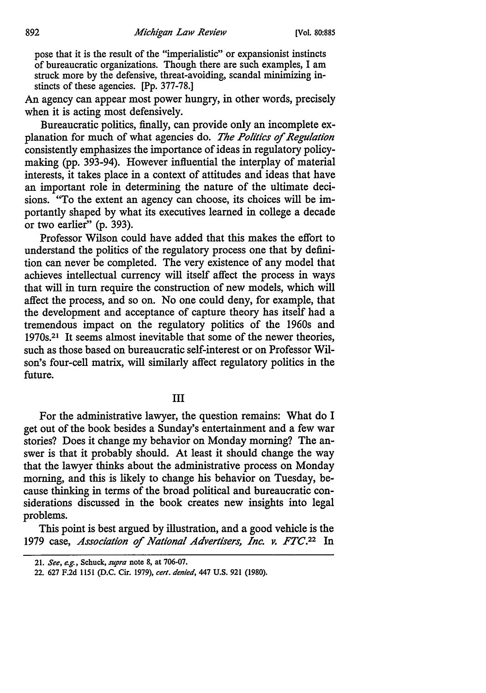pose that it is the result of the "imperialistic" or expansionist instincts of bureaucratic organizations. Though there are such examples, I am struck more by the defensive, threat-avoiding, scandal minimizing instincts of these agencies. [Pp. 377-78.)

An agency can appear most power hungry, in other words, precisely when it is acting most defensively.

Bureaucratic politics, finally, can provide only an incomplete explanation for much of what agencies do. *The Politics of Regulation*  consistently emphasizes the importance of ideas in regulatory policymaking (pp. 393-94). However influential the interplay of material interests, it takes place in a context of attitudes and ideas that have an important role in determining the nature of the ultimate decisions. ''To the extent an agency can choose, its choices will be importantly shaped by what its executives learned in college a decade or two earlier'' (p. 393).

Professor Wilson could have added that this makes the effort to understand the politics of the regulatory process one that by definition can never be completed. The very existence of any model that achieves intellectual currency will itself affect the process in ways that will in tum require the construction of new models, which will affect the process, and so on. No one could deny, for example, that the development and acceptance of capture theory has itself had a tremendous impact on the regulatory politics of the 1960s and 1970s.21 It seems almost inevitable that some of the newer theories, such as those based on bureaucratic self-interest or on Professor Wilson's four-cell matrix, will similarly affect regulatory politics in the future.

#### III

For the administrative lawyer, the question remains: What do I get out of the book besides a Sunday's entertainment and a few war stories? Does it change my behavior on Monday morning? The answer is that it probably should. At least it should change the way that the lawyer thinks about the administrative process on Monday morning, and this is likely to change his behavior on Tuesday, because thinking in terms of the broad political and bureaucratic considerations discussed in the book creates new insights into legal problems.

This point is best argued by illustration, and a good vehicle is the 1979 case, *Association of National Advertisers, Inc. v. FTC.*22 In

<sup>21.</sup> *See, e.g.,* Schuck, *supra* note 8, at 706-07.

<sup>22. 627</sup> F.2d 1151 (D.C. Cir. 1979), *cert. denied, 441* U.S. 921 (1980).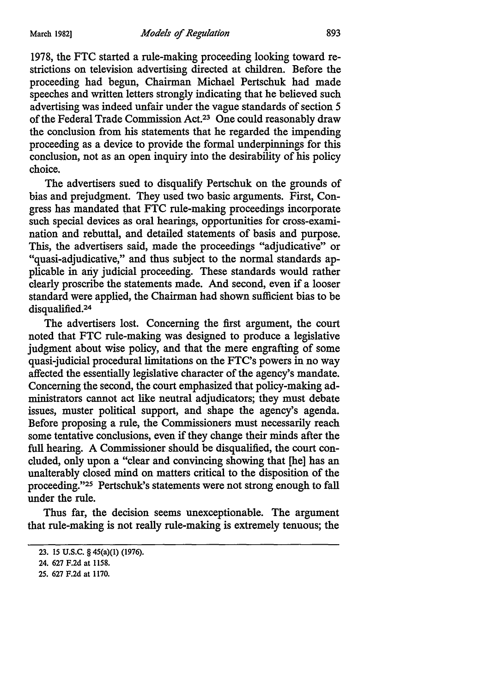1978, the FTC started a rule-making proceeding looking toward restrictions on television advertising directed at children. Before the proceeding had begun, Chairman Michael Pertschuk had made speeches and written letters strongly indicating that he believed such advertising was indeed unfair under the vague standards of section 5 of the Federal Trade Commission Act.23 One could reasonably draw the conclusion from his statements that he regarded the impending proceeding as a device to provide the formal underpinnings for this conclusion, not as an open inquiry into the desirability of his policy choice.

The advertisers sued to disqualify Pertschuk on the grounds of bias and prejudgment. They used two basic arguments. First, Congress has mandated {hat FTC rule-making proceedings incorporate such special devices as oral hearings, opportunities for cross-examination and rebuttal, and detailed statements of basis and purpose. This, the advertisers said, made the proceedings "adjudicative" or "quasi-adjudicative," and thus subject to the normal standards applicable in ariy judicial proceeding. These standards would rather clearly proscribe the statements made. And second, even if a looser standard were applied, the Chairman had shown sufficient bias to be disqualified.<sup>24</sup>

The advertisers lost. Concerning the first argument, the court noted that FTC rule-making was designed to produce a legislative judgment about wise policy, and that the mere engrafting of some quasi-judicial procedural limitations on the FTC's powers in no way affected the essentially legislative character of the agency's mandate. Concerning the second, the court emphasized that policy-making administrators cannot act like neutral adjudicators; they must debate issues, muster political support, and shape the agency's agenda. Before proposing a rule, the Commissioners must necessarily reach some tentative conclusions, even if they change their minds after the full hearing. A Commissioner should be disqualified, the court concluded, only upon a "clear and convincing showing that [he] has an unalterably closed mind on matters critical to the disposition of the proceeding."<sup>25</sup> Pertschuk's statements were not strong enough to fall under the rule.

Thus far, the decision seems unexceptionable. The argument that rule-making is not really rule-making is extremely tenuous; the

<sup>23. 15</sup> U.S.C. § 45(a)(l) (1976).

<sup>24. 627</sup> F.2d at 1158.

<sup>25. 627</sup> F.2d at 1170.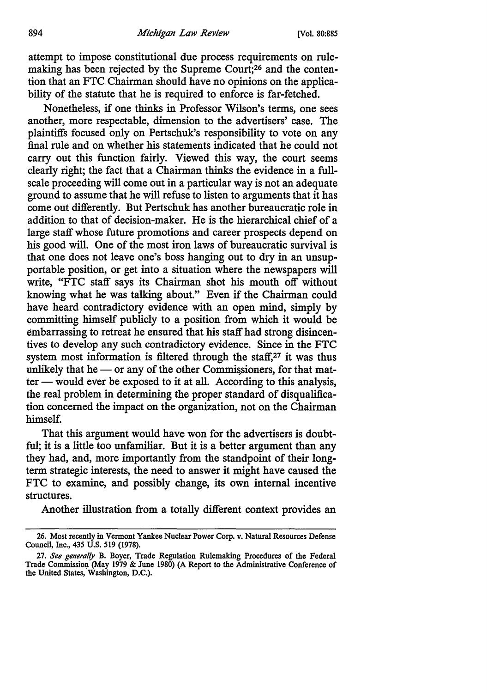attempt to impose constitutional due process requirements on rulemaking has been rejected by the Supreme Court;26 and the contention that an FTC Chairman should have no opinions on the applicability of the statute that he is required to enforce is far-fetched.

Nonetheless, if one thinks in Professor Wilson's terms, one sees another, more respectable, dimension to the advertisers' case. The plaintiffs focused only on Pertschuk's responsibility to vote on any final rule and on whether his statements indicated that he could not carry out this function fairly. Viewed this way, the court seems clearly right; the fact that a Chairman thinks the evidence in a fullscale proceeding will come out in a particular way is not an adequate ground to assume that he will refuse to listen to arguments that it has come out differently. But Pertschuk has another bureaucratic role in addition to that of decision-maker. He is the hierarchical chief of a large staff whose future promotions and career prospects depend on his good will. One of the most iron laws of bureaucratic survival is that one does not leave one's boss hanging out to dry in an unsupportable position, or get into a situation where the newspapers will write, "FTC staff says its Chairman shot his mouth off without knowing what he was talking about." Even if the Chairman could have heard contradictory evidence with an open mind, simply by committing himself publicly to a position from which it would be embarrassing to retreat he ensured that his staff had strong disincentives to develop any such contradictory evidence. Since in the FTC system most information is filtered through the staff, $27$  it was thus unlikely that he  $-$  or any of the other Commissioners, for that mat $ter$  - would ever be exposed to it at all. According to this analysis, the real problem in determining the proper standard of disqualification concerned the impact on the organization, not on the Chairman himself.

That this argument would have won for the advertisers is doubtful; it is a little too unfamiliar. But it is a better argument than any they had, and, more importantly from the standpoint of their longterm strategic interests, the need to answer it might have caused the FTC to examine, and possibly change, its own internal incentive structures.

Another illustration from a totally different context provides an

<sup>26.</sup> Most recently in Vermont **Yankee** Nuclear Power Corp. v. Natural Resources Defense Council, Inc., 435 U.S. 519 (1978).

<sup>27.</sup> *See generally* B. Boyer, Trade Regulation Rulemaking Procedures of the Federal Trade Commission (May 1979 & June 1980) (A Report to the Administrative Conference of the United States, Washington, D.C.).